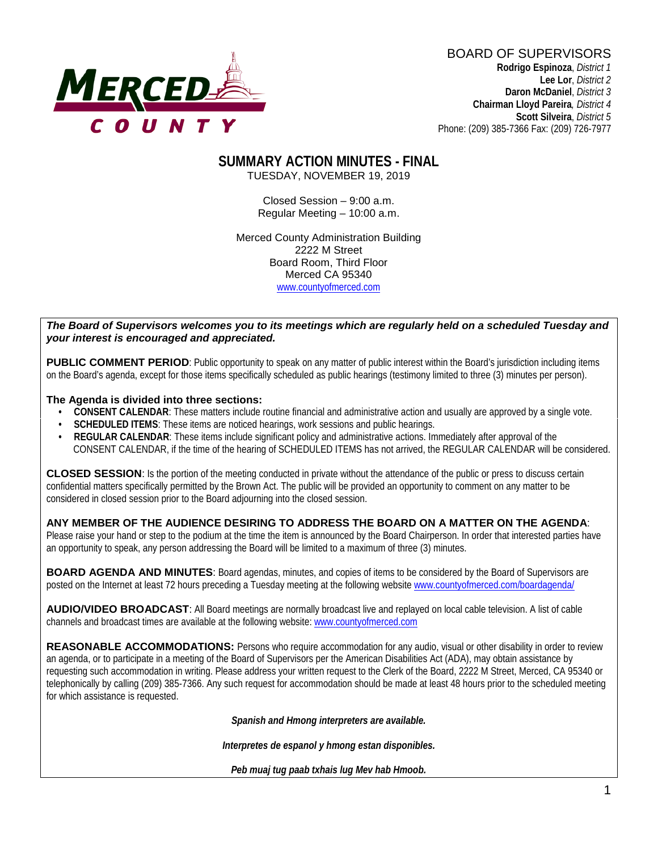

BOARD OF SUPERVISORS **Rodrigo Espinoza**, *District 1*  **Lee Lor**, *District 2*  **Daron McDaniel**, *District 3* **Chairman Lloyd Pareira***, District 4*  **Scott Silveira**, *District 5* Phone: (209) 385-7366 Fax: (209) 726-7977

#### **SUMMARY ACTION MINUTES - FINAL** TUESDAY, NOVEMBER 19, 2019

Closed Session – 9:00 a.m. Regular Meeting – 10:00 a.m.

Merced County Administration Building 2222 M Street Board Room, Third Floor Merced CA 95340 www.countyofmerced.com

#### *The Board of Supervisors welcomes you to its meetings which are regularly held on a scheduled Tuesday and your interest is encouraged and appreciated.*

**PUBLIC COMMENT PERIOD:** Public opportunity to speak on any matter of public interest within the Board's jurisdiction including items on the Board's agenda, except for those items specifically scheduled as public hearings (testimony limited to three (3) minutes per person).

#### **The Agenda is divided into three sections:**

- **CONSENT CALENDAR**: These matters include routine financial and administrative action and usually are approved by a single vote.
- **SCHEDULED ITEMS:** These items are noticed hearings, work sessions and public hearings.
- **REGULAR CALENDAR**: These items include significant policy and administrative actions. Immediately after approval of the CONSENT CALENDAR, if the time of the hearing of SCHEDULED ITEMS has not arrived, the REGULAR CALENDAR will be considered.

**CLOSED SESSION**: Is the portion of the meeting conducted in private without the attendance of the public or press to discuss certain confidential matters specifically permitted by the Brown Act. The public will be provided an opportunity to comment on any matter to be considered in closed session prior to the Board adjourning into the closed session.

#### **ANY MEMBER OF THE AUDIENCE DESIRING TO ADDRESS THE BOARD ON A MATTER ON THE AGENDA**:

Please raise your hand or step to the podium at the time the item is announced by the Board Chairperson. In order that interested parties have an opportunity to speak, any person addressing the Board will be limited to a maximum of three (3) minutes.

**BOARD AGENDA AND MINUTES:** Board agendas, minutes, and copies of items to be considered by the Board of Supervisors are posted on the Internet at least 72 hours preceding a Tuesday meeting at the following website [www.countyofmerced.com/boardagenda/](http://www.countyofmerced.com/boardagenda/) 

**AUDIO/VIDEO BROADCAST**: All Board meetings are normally broadcast live and replayed on local cable television. A list of cable channels and broadcast times are available at the following website[: www.countyofmerced.com](http://www.countyofmerced.com/)

**REASONABLE ACCOMMODATIONS:** Persons who require accommodation for any audio, visual or other disability in order to review an agenda, or to participate in a meeting of the Board of Supervisors per the American Disabilities Act (ADA), may obtain assistance by requesting such accommodation in writing. Please address your written request to the Clerk of the Board, 2222 M Street, Merced, CA 95340 or telephonically by calling (209) 385-7366. Any such request for accommodation should be made at least 48 hours prior to the scheduled meeting for which assistance is requested.

*Spanish and Hmong interpreters are available.*

*Interpretes de espanol y hmong estan disponibles.*

*Peb muaj tug paab txhais lug Mev hab Hmoob.*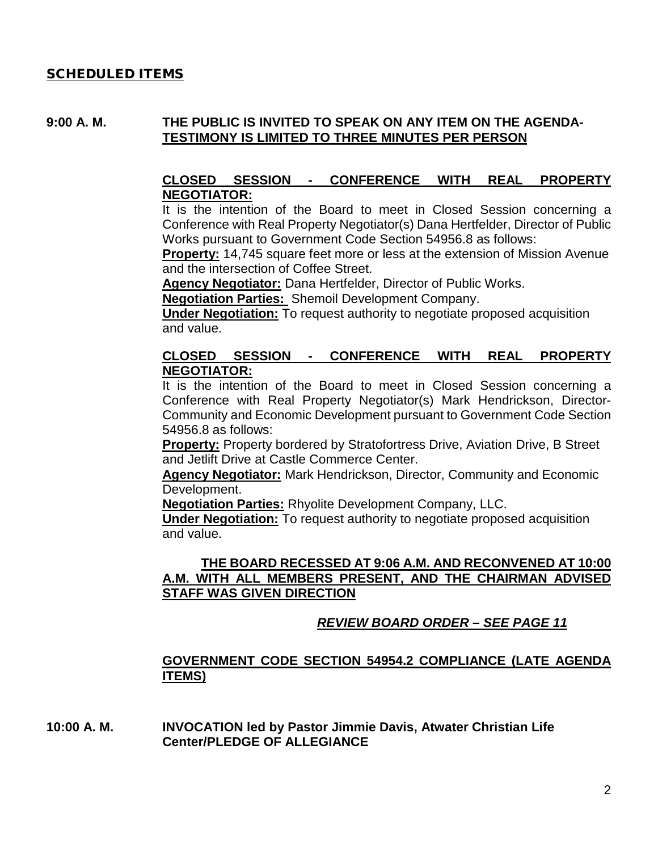#### SCHEDULED ITEMS

#### **9:00 A. M. THE PUBLIC IS INVITED TO SPEAK ON ANY ITEM ON THE AGENDA-TESTIMONY IS LIMITED TO THREE MINUTES PER PERSON**

#### **CLOSED SESSION - CONFERENCE WITH REAL PROPERTY NEGOTIATOR:**

It is the intention of the Board to meet in Closed Session concerning a Conference with Real Property Negotiator(s) Dana Hertfelder, Director of Public Works pursuant to Government Code Section 54956.8 as follows:

**Property:** 14,745 square feet more or less at the extension of Mission Avenue and the intersection of Coffee Street.

**Agency Negotiator:** Dana Hertfelder, Director of Public Works.

**Negotiation Parties:** Shemoil Development Company.

**Under Negotiation:** To request authority to negotiate proposed acquisition and value.

#### **CLOSED SESSION - CONFERENCE WITH REAL PROPERTY NEGOTIATOR:**

It is the intention of the Board to meet in Closed Session concerning a Conference with Real Property Negotiator(s) Mark Hendrickson, Director-Community and Economic Development pursuant to Government Code Section 54956.8 as follows:

**Property:** Property bordered by Stratofortress Drive, Aviation Drive, B Street and Jetlift Drive at Castle Commerce Center.

**Agency Negotiator:** Mark Hendrickson, Director, Community and Economic Development.

**Negotiation Parties:** Rhyolite Development Company, LLC.

**Under Negotiation:** To request authority to negotiate proposed acquisition and value.

### **THE BOARD RECESSED AT 9:06 A.M. AND RECONVENED AT 10:00 A.M. WITH ALL MEMBERS PRESENT, AND THE CHAIRMAN ADVISED STAFF WAS GIVEN DIRECTION**

## *REVIEW BOARD ORDER – SEE PAGE 11*

### **GOVERNMENT CODE SECTION 54954.2 COMPLIANCE (LATE AGENDA ITEMS)**

**10:00 A. M. INVOCATION led by Pastor Jimmie Davis, Atwater Christian Life Center/PLEDGE OF ALLEGIANCE**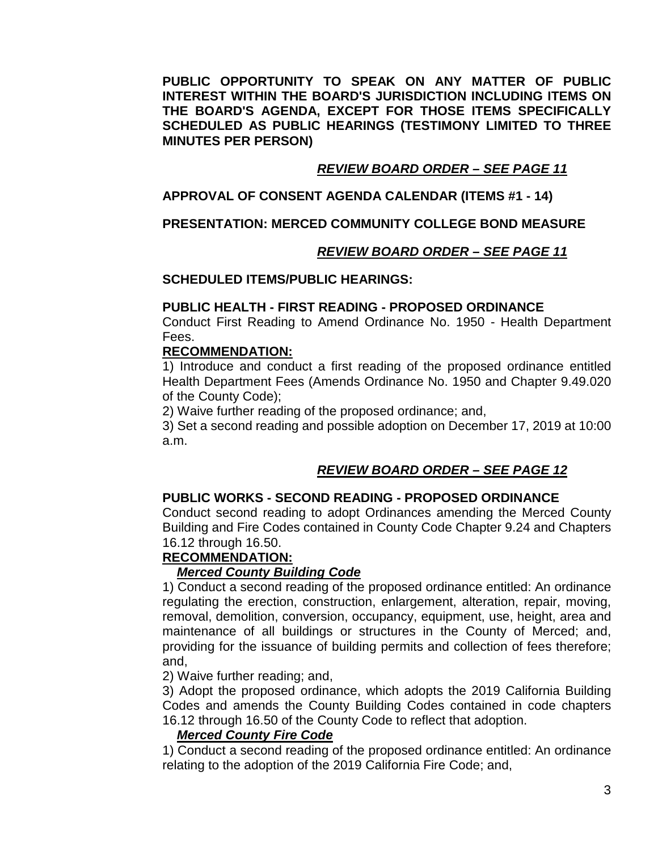**PUBLIC OPPORTUNITY TO SPEAK ON ANY MATTER OF PUBLIC INTEREST WITHIN THE BOARD'S JURISDICTION INCLUDING ITEMS ON THE BOARD'S AGENDA, EXCEPT FOR THOSE ITEMS SPECIFICALLY SCHEDULED AS PUBLIC HEARINGS (TESTIMONY LIMITED TO THREE MINUTES PER PERSON)**

### *REVIEW BOARD ORDER – SEE PAGE 11*

### **APPROVAL OF CONSENT AGENDA CALENDAR (ITEMS #1 - 14)**

### **PRESENTATION: MERCED COMMUNITY COLLEGE BOND MEASURE**

### *REVIEW BOARD ORDER – SEE PAGE 11*

### **SCHEDULED ITEMS/PUBLIC HEARINGS:**

#### **PUBLIC HEALTH - FIRST READING - PROPOSED ORDINANCE**

Conduct First Reading to Amend Ordinance No. 1950 - Health Department Fees.

### **RECOMMENDATION:**

1) Introduce and conduct a first reading of the proposed ordinance entitled Health Department Fees (Amends Ordinance No. 1950 and Chapter 9.49.020 of the County Code);

2) Waive further reading of the proposed ordinance; and,

3) Set a second reading and possible adoption on December 17, 2019 at 10:00 a.m.

## *REVIEW BOARD ORDER – SEE PAGE 12*

### **PUBLIC WORKS - SECOND READING - PROPOSED ORDINANCE**

Conduct second reading to adopt Ordinances amending the Merced County Building and Fire Codes contained in County Code Chapter 9.24 and Chapters 16.12 through 16.50.

## **RECOMMENDATION:**

### *Merced County Building Code*

1) Conduct a second reading of the proposed ordinance entitled: An ordinance regulating the erection, construction, enlargement, alteration, repair, moving, removal, demolition, conversion, occupancy, equipment, use, height, area and maintenance of all buildings or structures in the County of Merced; and, providing for the issuance of building permits and collection of fees therefore; and,

2) Waive further reading; and,

3) Adopt the proposed ordinance, which adopts the 2019 California Building Codes and amends the County Building Codes contained in code chapters 16.12 through 16.50 of the County Code to reflect that adoption.

### *Merced County Fire Code*

1) Conduct a second reading of the proposed ordinance entitled: An ordinance relating to the adoption of the 2019 California Fire Code; and,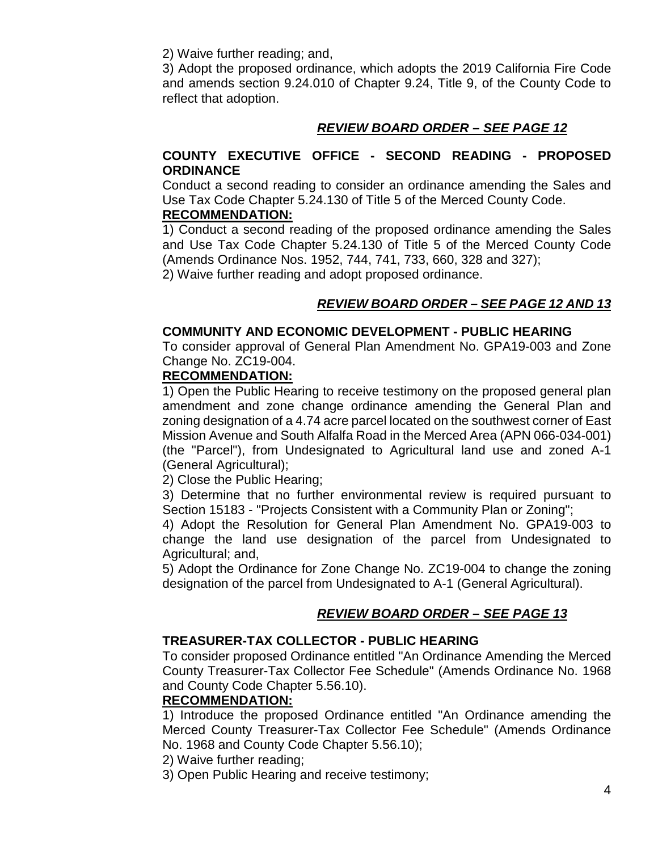2) Waive further reading; and,

3) Adopt the proposed ordinance, which adopts the 2019 California Fire Code and amends section 9.24.010 of Chapter 9.24, Title 9, of the County Code to reflect that adoption.

## *REVIEW BOARD ORDER – SEE PAGE 12*

### **COUNTY EXECUTIVE OFFICE - SECOND READING - PROPOSED ORDINANCE**

Conduct a second reading to consider an ordinance amending the Sales and Use Tax Code Chapter 5.24.130 of Title 5 of the Merced County Code. **RECOMMENDATION:**

1) Conduct a second reading of the proposed ordinance amending the Sales and Use Tax Code Chapter 5.24.130 of Title 5 of the Merced County Code (Amends Ordinance Nos. 1952, 744, 741, 733, 660, 328 and 327); 2) Waive further reading and adopt proposed ordinance.

## *REVIEW BOARD ORDER – SEE PAGE 12 AND 13*

## **COMMUNITY AND ECONOMIC DEVELOPMENT - PUBLIC HEARING**

To consider approval of General Plan Amendment No. GPA19-003 and Zone Change No. ZC19-004.

### **RECOMMENDATION:**

1) Open the Public Hearing to receive testimony on the proposed general plan amendment and zone change ordinance amending the General Plan and zoning designation of a 4.74 acre parcel located on the southwest corner of East Mission Avenue and South Alfalfa Road in the Merced Area (APN 066-034-001) (the "Parcel"), from Undesignated to Agricultural land use and zoned A-1 (General Agricultural);

2) Close the Public Hearing;

3) Determine that no further environmental review is required pursuant to Section 15183 - "Projects Consistent with a Community Plan or Zoning";

4) Adopt the Resolution for General Plan Amendment No. GPA19-003 to change the land use designation of the parcel from Undesignated to Agricultural; and,

5) Adopt the Ordinance for Zone Change No. ZC19-004 to change the zoning designation of the parcel from Undesignated to A-1 (General Agricultural).

## *REVIEW BOARD ORDER – SEE PAGE 13*

## **TREASURER-TAX COLLECTOR - PUBLIC HEARING**

To consider proposed Ordinance entitled "An Ordinance Amending the Merced County Treasurer-Tax Collector Fee Schedule" (Amends Ordinance No. 1968 and County Code Chapter 5.56.10).

### **RECOMMENDATION:**

1) Introduce the proposed Ordinance entitled "An Ordinance amending the Merced County Treasurer-Tax Collector Fee Schedule" (Amends Ordinance No. 1968 and County Code Chapter 5.56.10);

2) Waive further reading;

3) Open Public Hearing and receive testimony;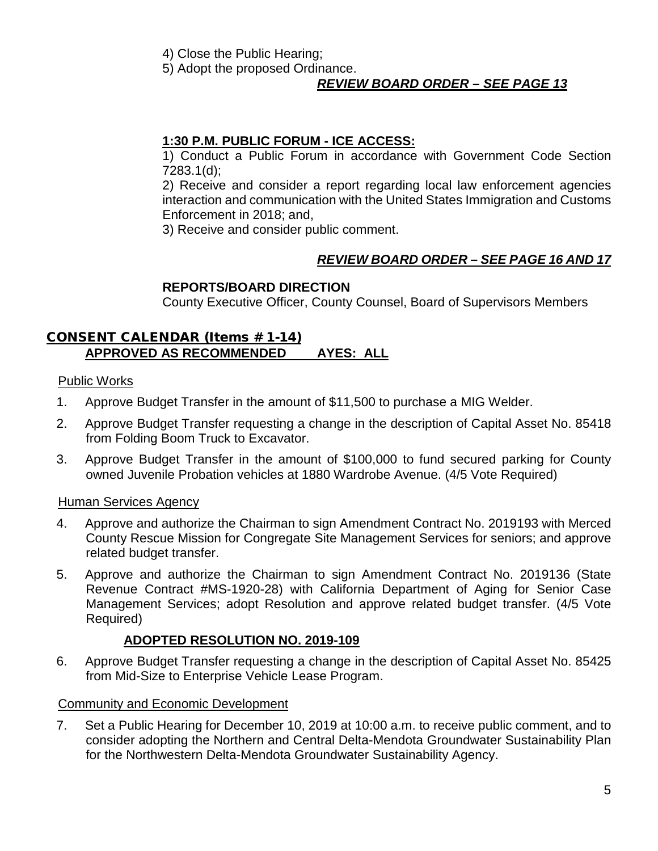- 4) Close the Public Hearing;
- 5) Adopt the proposed Ordinance.

## *REVIEW BOARD ORDER – SEE PAGE 13*

## **1:30 P.M. PUBLIC FORUM - ICE ACCESS:**

1) Conduct a Public Forum in accordance with Government Code Section 7283.1(d);

2) Receive and consider a report regarding local law enforcement agencies interaction and communication with the United States Immigration and Customs Enforcement in 2018; and,

3) Receive and consider public comment.

## *REVIEW BOARD ORDER – SEE PAGE 16 AND 17*

## **REPORTS/BOARD DIRECTION**

County Executive Officer, County Counsel, Board of Supervisors Members

## CONSENT CALENDAR (Items # 1-14) **APPROVED AS RECOMMENDED AYES: ALL**

### Public Works

- 1. Approve Budget Transfer in the amount of \$11,500 to purchase a MIG Welder.
- 2. Approve Budget Transfer requesting a change in the description of Capital Asset No. 85418 from Folding Boom Truck to Excavator.
- 3. Approve Budget Transfer in the amount of \$100,000 to fund secured parking for County owned Juvenile Probation vehicles at 1880 Wardrobe Avenue. (4/5 Vote Required)

### Human Services Agency

- 4. Approve and authorize the Chairman to sign Amendment Contract No. 2019193 with Merced County Rescue Mission for Congregate Site Management Services for seniors; and approve related budget transfer.
- 5. Approve and authorize the Chairman to sign Amendment Contract No. 2019136 (State Revenue Contract #MS-1920-28) with California Department of Aging for Senior Case Management Services; adopt Resolution and approve related budget transfer. (4/5 Vote Required)

## **ADOPTED RESOLUTION NO. 2019-109**

6. Approve Budget Transfer requesting a change in the description of Capital Asset No. 85425 from Mid-Size to Enterprise Vehicle Lease Program.

## Community and Economic Development

7. Set a Public Hearing for December 10, 2019 at 10:00 a.m. to receive public comment, and to consider adopting the Northern and Central Delta-Mendota Groundwater Sustainability Plan for the Northwestern Delta-Mendota Groundwater Sustainability Agency.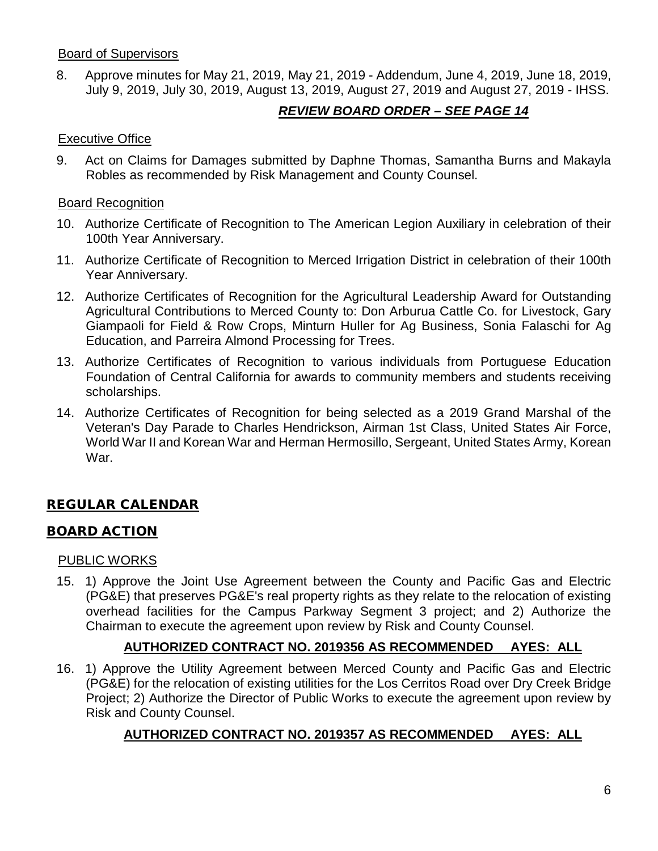### Board of Supervisors

8. Approve minutes for May 21, 2019, May 21, 2019 - Addendum, June 4, 2019, June 18, 2019, July 9, 2019, July 30, 2019, August 13, 2019, August 27, 2019 and August 27, 2019 - IHSS.

# *REVIEW BOARD ORDER – SEE PAGE 14*

### Executive Office

9. Act on Claims for Damages submitted by Daphne Thomas, Samantha Burns and Makayla Robles as recommended by Risk Management and County Counsel.

### Board Recognition

- 10. Authorize Certificate of Recognition to The American Legion Auxiliary in celebration of their 100th Year Anniversary.
- 11. Authorize Certificate of Recognition to Merced Irrigation District in celebration of their 100th Year Anniversary.
- 12. Authorize Certificates of Recognition for the Agricultural Leadership Award for Outstanding Agricultural Contributions to Merced County to: Don Arburua Cattle Co. for Livestock, Gary Giampaoli for Field & Row Crops, Minturn Huller for Ag Business, Sonia Falaschi for Ag Education, and Parreira Almond Processing for Trees.
- 13. Authorize Certificates of Recognition to various individuals from Portuguese Education Foundation of Central California for awards to community members and students receiving scholarships.
- 14. Authorize Certificates of Recognition for being selected as a 2019 Grand Marshal of the Veteran's Day Parade to Charles Hendrickson, Airman 1st Class, United States Air Force, World War II and Korean War and Herman Hermosillo, Sergeant, United States Army, Korean War.

# REGULAR CALENDAR

## BOARD ACTION

## PUBLIC WORKS

15. 1) Approve the Joint Use Agreement between the County and Pacific Gas and Electric (PG&E) that preserves PG&E's real property rights as they relate to the relocation of existing overhead facilities for the Campus Parkway Segment 3 project; and 2) Authorize the Chairman to execute the agreement upon review by Risk and County Counsel.

## **AUTHORIZED CONTRACT NO. 2019356 AS RECOMMENDED AYES: ALL**

16. 1) Approve the Utility Agreement between Merced County and Pacific Gas and Electric (PG&E) for the relocation of existing utilities for the Los Cerritos Road over Dry Creek Bridge Project; 2) Authorize the Director of Public Works to execute the agreement upon review by Risk and County Counsel.

## **AUTHORIZED CONTRACT NO. 2019357 AS RECOMMENDED AYES: ALL**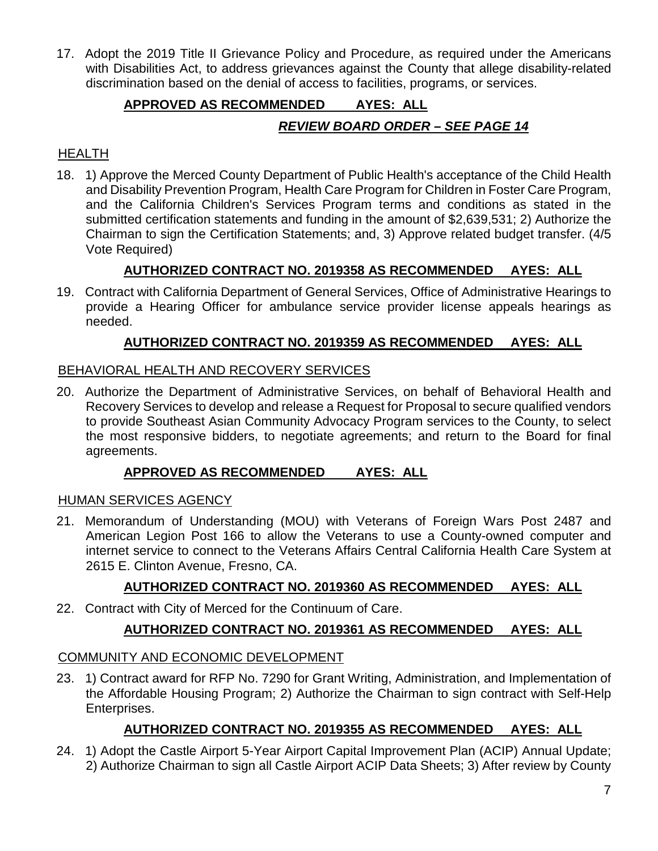17. Adopt the 2019 Title II Grievance Policy and Procedure, as required under the Americans with Disabilities Act, to address grievances against the County that allege disability-related discrimination based on the denial of access to facilities, programs, or services.

# **APPROVED AS RECOMMENDED AYES: ALL**

## *REVIEW BOARD ORDER – SEE PAGE 14*

## HEALTH

18. 1) Approve the Merced County Department of Public Health's acceptance of the Child Health and Disability Prevention Program, Health Care Program for Children in Foster Care Program, and the California Children's Services Program terms and conditions as stated in the submitted certification statements and funding in the amount of \$2,639,531; 2) Authorize the Chairman to sign the Certification Statements; and, 3) Approve related budget transfer. (4/5 Vote Required)

# **AUTHORIZED CONTRACT NO. 2019358 AS RECOMMENDED AYES: ALL**

19. Contract with California Department of General Services, Office of Administrative Hearings to provide a Hearing Officer for ambulance service provider license appeals hearings as needed.

## **AUTHORIZED CONTRACT NO. 2019359 AS RECOMMENDED AYES: ALL**

## BEHAVIORAL HEALTH AND RECOVERY SERVICES

20. Authorize the Department of Administrative Services, on behalf of Behavioral Health and Recovery Services to develop and release a Request for Proposal to secure qualified vendors to provide Southeast Asian Community Advocacy Program services to the County, to select the most responsive bidders, to negotiate agreements; and return to the Board for final agreements.

## **APPROVED AS RECOMMENDED AYES: ALL**

## HUMAN SERVICES AGENCY

21. Memorandum of Understanding (MOU) with Veterans of Foreign Wars Post 2487 and American Legion Post 166 to allow the Veterans to use a County-owned computer and internet service to connect to the Veterans Affairs Central California Health Care System at 2615 E. Clinton Avenue, Fresno, CA.

# **AUTHORIZED CONTRACT NO. 2019360 AS RECOMMENDED AYES: ALL**

22. Contract with City of Merced for the Continuum of Care.

# **AUTHORIZED CONTRACT NO. 2019361 AS RECOMMENDED AYES: ALL**

## COMMUNITY AND ECONOMIC DEVELOPMENT

23. 1) Contract award for RFP No. 7290 for Grant Writing, Administration, and Implementation of the Affordable Housing Program; 2) Authorize the Chairman to sign contract with Self-Help Enterprises.

# **AUTHORIZED CONTRACT NO. 2019355 AS RECOMMENDED AYES: ALL**

24. 1) Adopt the Castle Airport 5-Year Airport Capital Improvement Plan (ACIP) Annual Update; 2) Authorize Chairman to sign all Castle Airport ACIP Data Sheets; 3) After review by County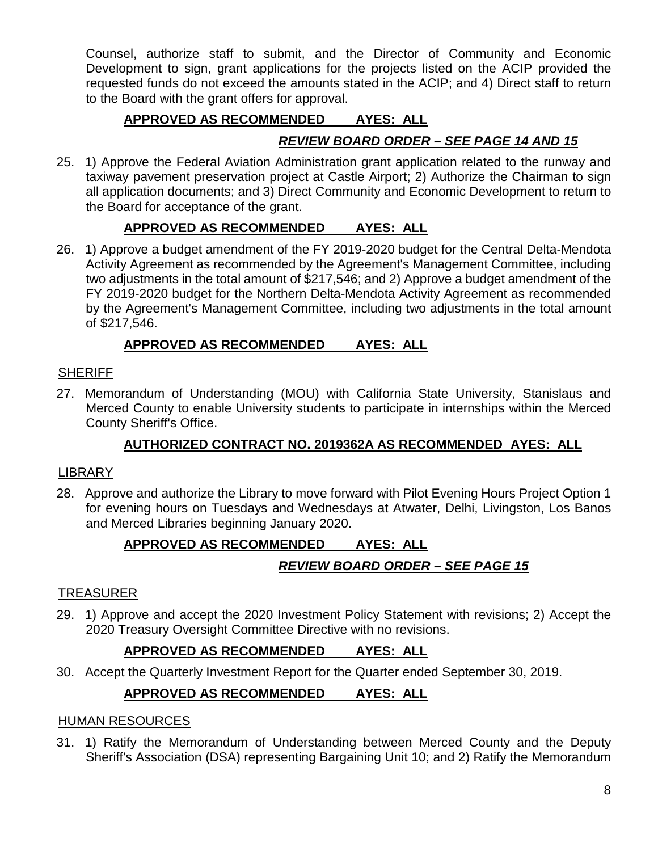Counsel, authorize staff to submit, and the Director of Community and Economic Development to sign, grant applications for the projects listed on the ACIP provided the requested funds do not exceed the amounts stated in the ACIP; and 4) Direct staff to return to the Board with the grant offers for approval.

# **APPROVED AS RECOMMENDED AYES: ALL**

# *REVIEW BOARD ORDER – SEE PAGE 14 AND 15*

25. 1) Approve the Federal Aviation Administration grant application related to the runway and taxiway pavement preservation project at Castle Airport; 2) Authorize the Chairman to sign all application documents; and 3) Direct Community and Economic Development to return to the Board for acceptance of the grant.

## **APPROVED AS RECOMMENDED AYES: ALL**

26. 1) Approve a budget amendment of the FY 2019-2020 budget for the Central Delta-Mendota Activity Agreement as recommended by the Agreement's Management Committee, including two adjustments in the total amount of \$217,546; and 2) Approve a budget amendment of the FY 2019-2020 budget for the Northern Delta-Mendota Activity Agreement as recommended by the Agreement's Management Committee, including two adjustments in the total amount of \$217,546.

## **APPROVED AS RECOMMENDED AYES: ALL**

### **SHERIFF**

27. Memorandum of Understanding (MOU) with California State University, Stanislaus and Merced County to enable University students to participate in internships within the Merced County Sheriff's Office.

## **AUTHORIZED CONTRACT NO. 2019362A AS RECOMMENDED AYES: ALL**

### LIBRARY

28. Approve and authorize the Library to move forward with Pilot Evening Hours Project Option 1 for evening hours on Tuesdays and Wednesdays at Atwater, Delhi, Livingston, Los Banos and Merced Libraries beginning January 2020.

## **APPROVED AS RECOMMENDED AYES: ALL**

## *REVIEW BOARD ORDER – SEE PAGE 15*

## TREASURER

29. 1) Approve and accept the 2020 Investment Policy Statement with revisions; 2) Accept the 2020 Treasury Oversight Committee Directive with no revisions.

## **APPROVED AS RECOMMENDED AYES: ALL**

30. Accept the Quarterly Investment Report for the Quarter ended September 30, 2019.

## **APPROVED AS RECOMMENDED AYES: ALL**

### HUMAN RESOURCES

31. 1) Ratify the Memorandum of Understanding between Merced County and the Deputy Sheriff's Association (DSA) representing Bargaining Unit 10; and 2) Ratify the Memorandum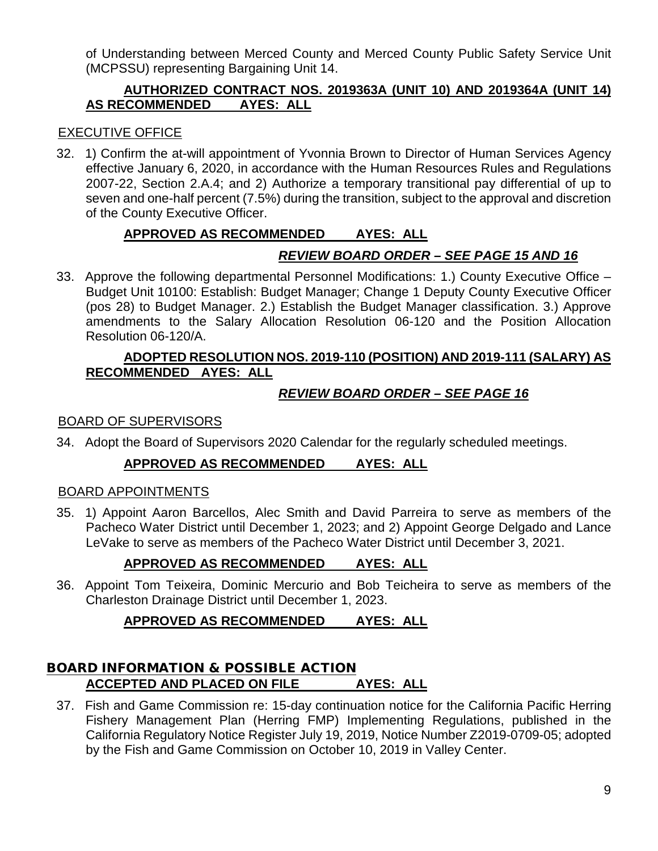of Understanding between Merced County and Merced County Public Safety Service Unit (MCPSSU) representing Bargaining Unit 14.

## **AUTHORIZED CONTRACT NOS. 2019363A (UNIT 10) AND 2019364A (UNIT 14) AS RECOMMENDED AYES: ALL**

## EXECUTIVE OFFICE

32. 1) Confirm the at-will appointment of Yvonnia Brown to Director of Human Services Agency effective January 6, 2020, in accordance with the Human Resources Rules and Regulations 2007-22, Section 2.A.4; and 2) Authorize a temporary transitional pay differential of up to seven and one-half percent (7.5%) during the transition, subject to the approval and discretion of the County Executive Officer.

## **APPROVED AS RECOMMENDED AYES: ALL**

## *REVIEW BOARD ORDER – SEE PAGE 15 AND 16*

33. Approve the following departmental Personnel Modifications: 1.) County Executive Office – Budget Unit 10100: Establish: Budget Manager; Change 1 Deputy County Executive Officer (pos 28) to Budget Manager. 2.) Establish the Budget Manager classification. 3.) Approve amendments to the Salary Allocation Resolution 06-120 and the Position Allocation Resolution 06-120/A.

### **ADOPTED RESOLUTION NOS. 2019-110 (POSITION) AND 2019-111 (SALARY) AS RECOMMENDED AYES: ALL**

## *REVIEW BOARD ORDER – SEE PAGE 16*

### BOARD OF SUPERVISORS

34. Adopt the Board of Supervisors 2020 Calendar for the regularly scheduled meetings.

## **APPROVED AS RECOMMENDED AYES: ALL**

## BOARD APPOINTMENTS

35. 1) Appoint Aaron Barcellos, Alec Smith and David Parreira to serve as members of the Pacheco Water District until December 1, 2023; and 2) Appoint George Delgado and Lance LeVake to serve as members of the Pacheco Water District until December 3, 2021.

## **APPROVED AS RECOMMENDED AYES: ALL**

36. Appoint Tom Teixeira, Dominic Mercurio and Bob Teicheira to serve as members of the Charleston Drainage District until December 1, 2023.

## **APPROVED AS RECOMMENDED AYES: ALL**

## BOARD INFORMATION & POSSIBLE ACTION **ACCEPTED AND PLACED ON FILE AYES: ALL**

37. Fish and Game Commission re: 15-day continuation notice for the California Pacific Herring Fishery Management Plan (Herring FMP) Implementing Regulations, published in the California Regulatory Notice Register July 19, 2019, Notice Number Z2019-0709-05; adopted by the Fish and Game Commission on October 10, 2019 in Valley Center.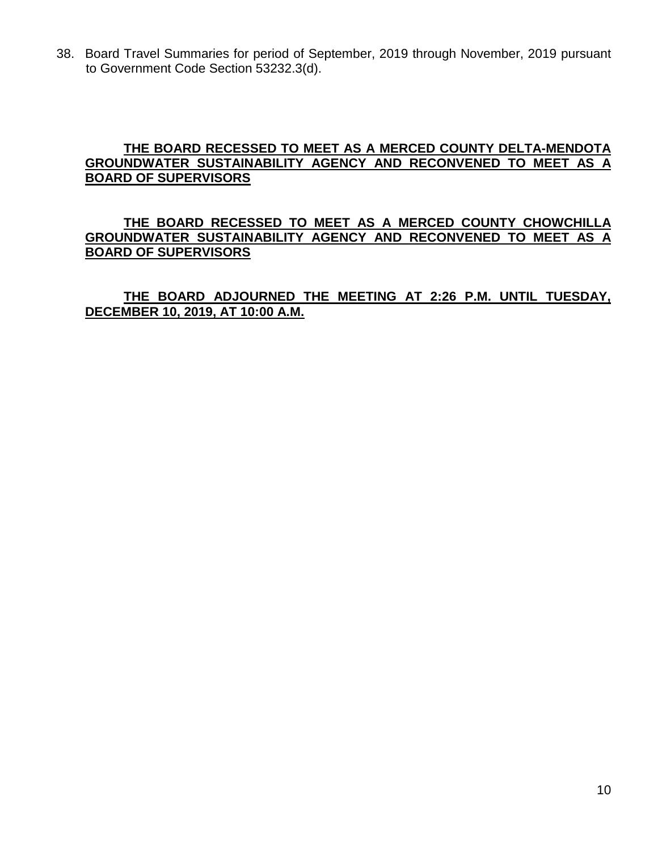38. Board Travel Summaries for period of September, 2019 through November, 2019 pursuant to Government Code Section 53232.3(d).

### **THE BOARD RECESSED TO MEET AS A MERCED COUNTY DELTA-MENDOTA GROUNDWATER SUSTAINABILITY AGENCY AND RECONVENED TO MEET AS A BOARD OF SUPERVISORS**

### **THE BOARD RECESSED TO MEET AS A MERCED COUNTY CHOWCHILLA GROUNDWATER SUSTAINABILITY AGENCY AND RECONVENED TO MEET AS A BOARD OF SUPERVISORS**

### **THE BOARD ADJOURNED THE MEETING AT 2:26 P.M. UNTIL TUESDAY, DECEMBER 10, 2019, AT 10:00 A.M.**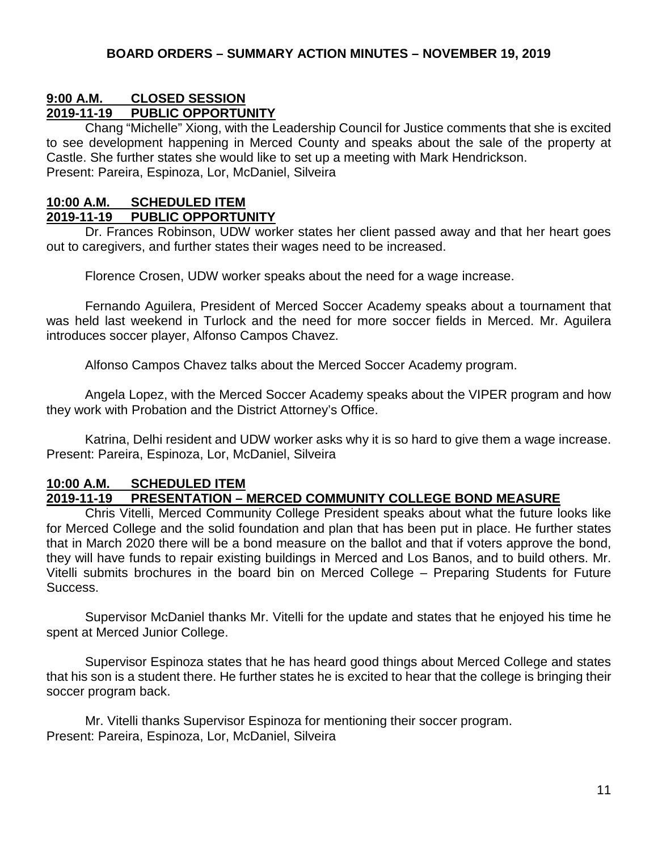## **9:00 A.M. CLOSED SESSION**

## **2019-11-19 PUBLIC OPPORTUNITY**

Chang "Michelle" Xiong, with the Leadership Council for Justice comments that she is excited to see development happening in Merced County and speaks about the sale of the property at Castle. She further states she would like to set up a meeting with Mark Hendrickson. Present: Pareira, Espinoza, Lor, McDaniel, Silveira

### **10:00 A.M. SCHEDULED ITEM**

### **2019-11-19 PUBLIC OPPORTUNITY**

Dr. Frances Robinson, UDW worker states her client passed away and that her heart goes out to caregivers, and further states their wages need to be increased.

Florence Crosen, UDW worker speaks about the need for a wage increase.

Fernando Aguilera, President of Merced Soccer Academy speaks about a tournament that was held last weekend in Turlock and the need for more soccer fields in Merced. Mr. Aguilera introduces soccer player, Alfonso Campos Chavez.

Alfonso Campos Chavez talks about the Merced Soccer Academy program.

Angela Lopez, with the Merced Soccer Academy speaks about the VIPER program and how they work with Probation and the District Attorney's Office.

Katrina, Delhi resident and UDW worker asks why it is so hard to give them a wage increase. Present: Pareira, Espinoza, Lor, McDaniel, Silveira

#### **10:00 A.M. SCHEDULED ITEM 2019-11-19 PRESENTATION – MERCED COMMUNITY COLLEGE BOND MEASURE**

Chris Vitelli, Merced Community College President speaks about what the future looks like for Merced College and the solid foundation and plan that has been put in place. He further states that in March 2020 there will be a bond measure on the ballot and that if voters approve the bond, they will have funds to repair existing buildings in Merced and Los Banos, and to build others. Mr. Vitelli submits brochures in the board bin on Merced College – Preparing Students for Future Success.

Supervisor McDaniel thanks Mr. Vitelli for the update and states that he enjoyed his time he spent at Merced Junior College.

Supervisor Espinoza states that he has heard good things about Merced College and states that his son is a student there. He further states he is excited to hear that the college is bringing their soccer program back.

Mr. Vitelli thanks Supervisor Espinoza for mentioning their soccer program. Present: Pareira, Espinoza, Lor, McDaniel, Silveira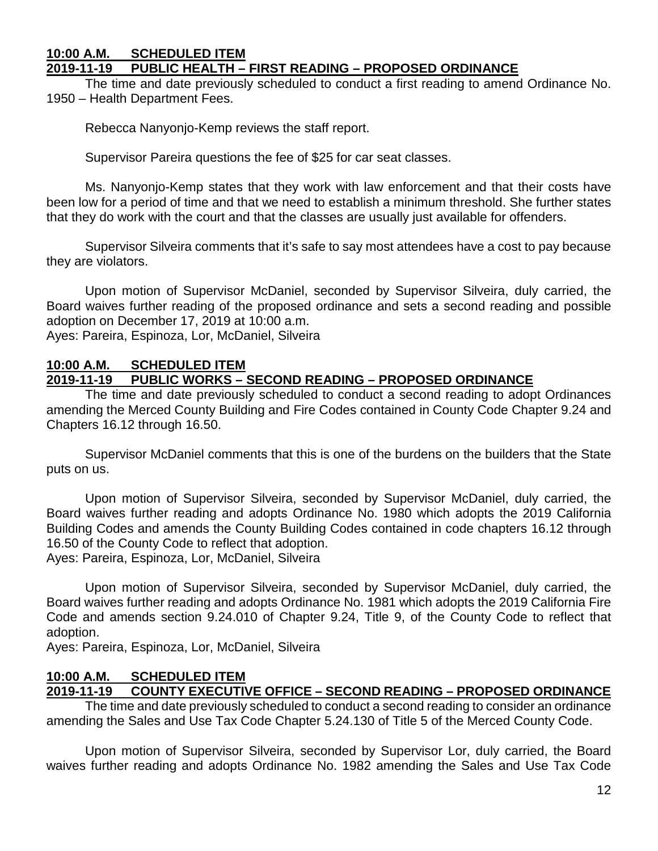#### **10:00 A.M. SCHEDULED ITEM 2019-11-19 PUBLIC HEALTH – FIRST READING – PROPOSED ORDINANCE**

The time and date previously scheduled to conduct a first reading to amend Ordinance No. 1950 – Health Department Fees.

Rebecca Nanyonjo-Kemp reviews the staff report.

Supervisor Pareira questions the fee of \$25 for car seat classes.

Ms. Nanyonjo-Kemp states that they work with law enforcement and that their costs have been low for a period of time and that we need to establish a minimum threshold. She further states that they do work with the court and that the classes are usually just available for offenders.

Supervisor Silveira comments that it's safe to say most attendees have a cost to pay because they are violators.

Upon motion of Supervisor McDaniel, seconded by Supervisor Silveira, duly carried, the Board waives further reading of the proposed ordinance and sets a second reading and possible adoption on December 17, 2019 at 10:00 a.m.

Ayes: Pareira, Espinoza, Lor, McDaniel, Silveira

### **10:00 A.M. SCHEDULED ITEM 2019-11-19 PUBLIC WORKS – SECOND READING – PROPOSED ORDINANCE**

The time and date previously scheduled to conduct a second reading to adopt Ordinances amending the Merced County Building and Fire Codes contained in County Code Chapter 9.24 and Chapters 16.12 through 16.50.

Supervisor McDaniel comments that this is one of the burdens on the builders that the State puts on us.

Upon motion of Supervisor Silveira, seconded by Supervisor McDaniel, duly carried, the Board waives further reading and adopts Ordinance No. 1980 which adopts the 2019 California Building Codes and amends the County Building Codes contained in code chapters 16.12 through 16.50 of the County Code to reflect that adoption.

Ayes: Pareira, Espinoza, Lor, McDaniel, Silveira

Upon motion of Supervisor Silveira, seconded by Supervisor McDaniel, duly carried, the Board waives further reading and adopts Ordinance No. 1981 which adopts the 2019 California Fire Code and amends section 9.24.010 of Chapter 9.24, Title 9, of the County Code to reflect that adoption.

Ayes: Pareira, Espinoza, Lor, McDaniel, Silveira

### **10:00 A.M. SCHEDULED ITEM**

## **2019-11-19 COUNTY EXECUTIVE OFFICE – SECOND READING – PROPOSED ORDINANCE**

The time and date previously scheduled to conduct a second reading to consider an ordinance amending the Sales and Use Tax Code Chapter 5.24.130 of Title 5 of the Merced County Code.

Upon motion of Supervisor Silveira, seconded by Supervisor Lor, duly carried, the Board waives further reading and adopts Ordinance No. 1982 amending the Sales and Use Tax Code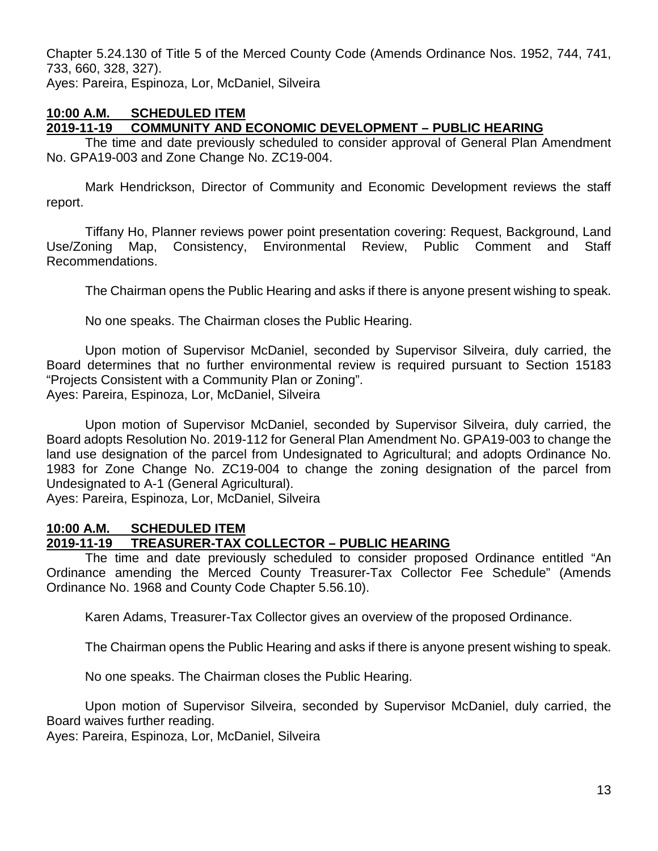Chapter 5.24.130 of Title 5 of the Merced County Code (Amends Ordinance Nos. 1952, 744, 741, 733, 660, 328, 327). Ayes: Pareira, Espinoza, Lor, McDaniel, Silveira

### **10:00 A.M. SCHEDULED ITEM 2019-11-19 COMMUNITY AND ECONOMIC DEVELOPMENT – PUBLIC HEARING**

The time and date previously scheduled to consider approval of General Plan Amendment No. GPA19-003 and Zone Change No. ZC19-004.

Mark Hendrickson, Director of Community and Economic Development reviews the staff report.

Tiffany Ho, Planner reviews power point presentation covering: Request, Background, Land Use/Zoning Map, Consistency, Environmental Review, Public Comment and Staff Recommendations.

The Chairman opens the Public Hearing and asks if there is anyone present wishing to speak.

No one speaks. The Chairman closes the Public Hearing.

Upon motion of Supervisor McDaniel, seconded by Supervisor Silveira, duly carried, the Board determines that no further environmental review is required pursuant to Section 15183 "Projects Consistent with a Community Plan or Zoning".

Ayes: Pareira, Espinoza, Lor, McDaniel, Silveira

Upon motion of Supervisor McDaniel, seconded by Supervisor Silveira, duly carried, the Board adopts Resolution No. 2019-112 for General Plan Amendment No. GPA19-003 to change the land use designation of the parcel from Undesignated to Agricultural; and adopts Ordinance No. 1983 for Zone Change No. ZC19-004 to change the zoning designation of the parcel from Undesignated to A-1 (General Agricultural).

Ayes: Pareira, Espinoza, Lor, McDaniel, Silveira

### **10:00 A.M. SCHEDULED ITEM 2019-11-19 TREASURER-TAX COLLECTOR – PUBLIC HEARING**

The time and date previously scheduled to consider proposed Ordinance entitled "An Ordinance amending the Merced County Treasurer-Tax Collector Fee Schedule" (Amends Ordinance No. 1968 and County Code Chapter 5.56.10).

Karen Adams, Treasurer-Tax Collector gives an overview of the proposed Ordinance.

The Chairman opens the Public Hearing and asks if there is anyone present wishing to speak.

No one speaks. The Chairman closes the Public Hearing.

Upon motion of Supervisor Silveira, seconded by Supervisor McDaniel, duly carried, the Board waives further reading.

Ayes: Pareira, Espinoza, Lor, McDaniel, Silveira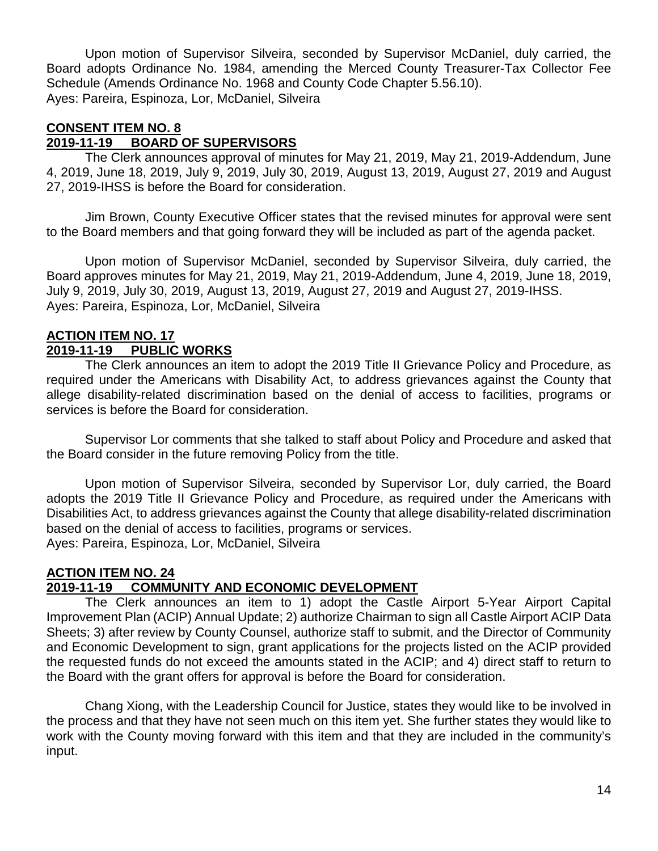Upon motion of Supervisor Silveira, seconded by Supervisor McDaniel, duly carried, the Board adopts Ordinance No. 1984, amending the Merced County Treasurer-Tax Collector Fee Schedule (Amends Ordinance No. 1968 and County Code Chapter 5.56.10). Ayes: Pareira, Espinoza, Lor, McDaniel, Silveira

### **CONSENT ITEM NO. 8**

### **2019-11-19 BOARD OF SUPERVISORS**

The Clerk announces approval of minutes for May 21, 2019, May 21, 2019-Addendum, June 4, 2019, June 18, 2019, July 9, 2019, July 30, 2019, August 13, 2019, August 27, 2019 and August 27, 2019-IHSS is before the Board for consideration.

Jim Brown, County Executive Officer states that the revised minutes for approval were sent to the Board members and that going forward they will be included as part of the agenda packet.

Upon motion of Supervisor McDaniel, seconded by Supervisor Silveira, duly carried, the Board approves minutes for May 21, 2019, May 21, 2019-Addendum, June 4, 2019, June 18, 2019, July 9, 2019, July 30, 2019, August 13, 2019, August 27, 2019 and August 27, 2019-IHSS. Ayes: Pareira, Espinoza, Lor, McDaniel, Silveira

### **ACTION ITEM NO. 17 2019-11-19 PUBLIC WORKS**

The Clerk announces an item to adopt the 2019 Title II Grievance Policy and Procedure, as required under the Americans with Disability Act, to address grievances against the County that allege disability-related discrimination based on the denial of access to facilities, programs or services is before the Board for consideration.

Supervisor Lor comments that she talked to staff about Policy and Procedure and asked that the Board consider in the future removing Policy from the title.

Upon motion of Supervisor Silveira, seconded by Supervisor Lor, duly carried, the Board adopts the 2019 Title II Grievance Policy and Procedure, as required under the Americans with Disabilities Act, to address grievances against the County that allege disability-related discrimination based on the denial of access to facilities, programs or services. Ayes: Pareira, Espinoza, Lor, McDaniel, Silveira

### **ACTION ITEM NO. 24 2019-11-19 COMMUNITY AND ECONOMIC DEVELOPMENT**

The Clerk announces an item to 1) adopt the Castle Airport 5-Year Airport Capital Improvement Plan (ACIP) Annual Update; 2) authorize Chairman to sign all Castle Airport ACIP Data Sheets; 3) after review by County Counsel, authorize staff to submit, and the Director of Community and Economic Development to sign, grant applications for the projects listed on the ACIP provided the requested funds do not exceed the amounts stated in the ACIP; and 4) direct staff to return to the Board with the grant offers for approval is before the Board for consideration.

Chang Xiong, with the Leadership Council for Justice, states they would like to be involved in the process and that they have not seen much on this item yet. She further states they would like to work with the County moving forward with this item and that they are included in the community's input.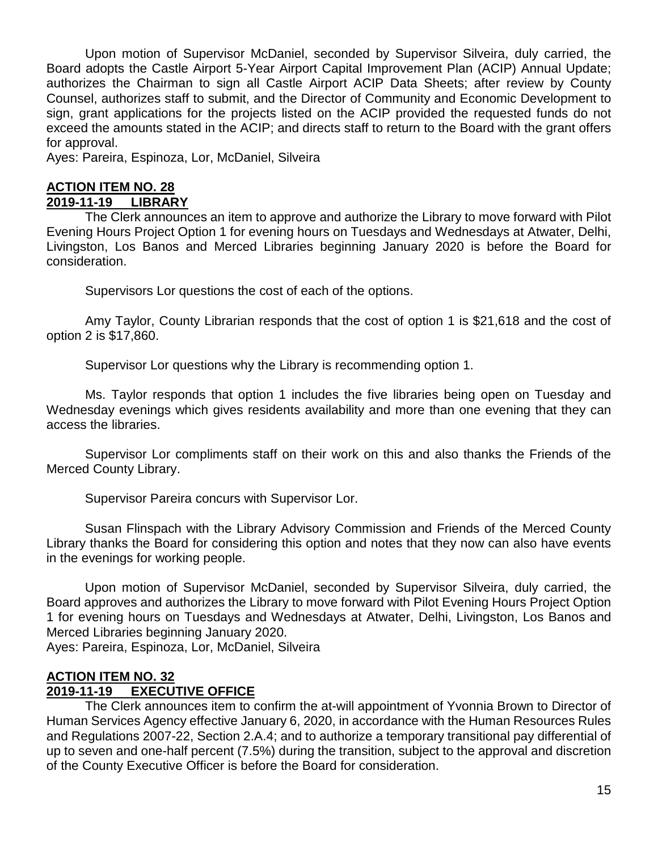Upon motion of Supervisor McDaniel, seconded by Supervisor Silveira, duly carried, the Board adopts the Castle Airport 5-Year Airport Capital Improvement Plan (ACIP) Annual Update; authorizes the Chairman to sign all Castle Airport ACIP Data Sheets; after review by County Counsel, authorizes staff to submit, and the Director of Community and Economic Development to sign, grant applications for the projects listed on the ACIP provided the requested funds do not exceed the amounts stated in the ACIP; and directs staff to return to the Board with the grant offers for approval.

Ayes: Pareira, Espinoza, Lor, McDaniel, Silveira

### **ACTION ITEM NO. 28 2019-11-19 LIBRARY**

The Clerk announces an item to approve and authorize the Library to move forward with Pilot Evening Hours Project Option 1 for evening hours on Tuesdays and Wednesdays at Atwater, Delhi, Livingston, Los Banos and Merced Libraries beginning January 2020 is before the Board for consideration.

Supervisors Lor questions the cost of each of the options.

Amy Taylor, County Librarian responds that the cost of option 1 is \$21,618 and the cost of option 2 is \$17,860.

Supervisor Lor questions why the Library is recommending option 1.

Ms. Taylor responds that option 1 includes the five libraries being open on Tuesday and Wednesday evenings which gives residents availability and more than one evening that they can access the libraries.

Supervisor Lor compliments staff on their work on this and also thanks the Friends of the Merced County Library.

Supervisor Pareira concurs with Supervisor Lor.

Susan Flinspach with the Library Advisory Commission and Friends of the Merced County Library thanks the Board for considering this option and notes that they now can also have events in the evenings for working people.

Upon motion of Supervisor McDaniel, seconded by Supervisor Silveira, duly carried, the Board approves and authorizes the Library to move forward with Pilot Evening Hours Project Option 1 for evening hours on Tuesdays and Wednesdays at Atwater, Delhi, Livingston, Los Banos and Merced Libraries beginning January 2020.

Ayes: Pareira, Espinoza, Lor, McDaniel, Silveira

# **ACTION ITEM NO. 32**

### **2019-11-19 EXECUTIVE OFFICE**

The Clerk announces item to confirm the at-will appointment of Yvonnia Brown to Director of Human Services Agency effective January 6, 2020, in accordance with the Human Resources Rules and Regulations 2007-22, Section 2.A.4; and to authorize a temporary transitional pay differential of up to seven and one-half percent (7.5%) during the transition, subject to the approval and discretion of the County Executive Officer is before the Board for consideration.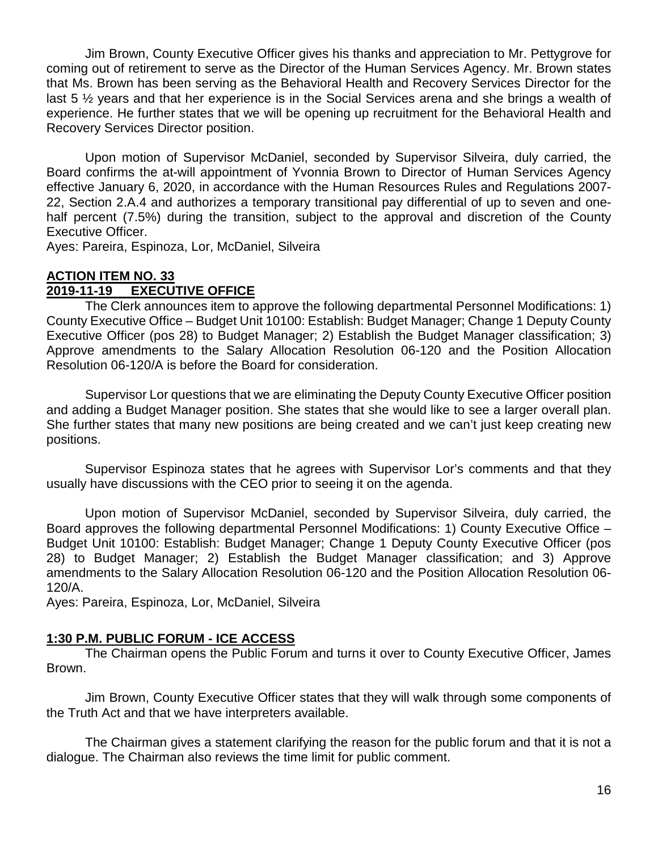Jim Brown, County Executive Officer gives his thanks and appreciation to Mr. Pettygrove for coming out of retirement to serve as the Director of the Human Services Agency. Mr. Brown states that Ms. Brown has been serving as the Behavioral Health and Recovery Services Director for the last 5 ½ years and that her experience is in the Social Services arena and she brings a wealth of experience. He further states that we will be opening up recruitment for the Behavioral Health and Recovery Services Director position.

Upon motion of Supervisor McDaniel, seconded by Supervisor Silveira, duly carried, the Board confirms the at-will appointment of Yvonnia Brown to Director of Human Services Agency effective January 6, 2020, in accordance with the Human Resources Rules and Regulations 2007- 22, Section 2.A.4 and authorizes a temporary transitional pay differential of up to seven and onehalf percent (7.5%) during the transition, subject to the approval and discretion of the County Executive Officer.

Ayes: Pareira, Espinoza, Lor, McDaniel, Silveira

### **ACTION ITEM NO. 33 2019-11-19 EXECUTIVE OFFICE**

The Clerk announces item to approve the following departmental Personnel Modifications: 1) County Executive Office – Budget Unit 10100: Establish: Budget Manager; Change 1 Deputy County Executive Officer (pos 28) to Budget Manager; 2) Establish the Budget Manager classification; 3) Approve amendments to the Salary Allocation Resolution 06-120 and the Position Allocation Resolution 06-120/A is before the Board for consideration.

Supervisor Lor questions that we are eliminating the Deputy County Executive Officer position and adding a Budget Manager position. She states that she would like to see a larger overall plan. She further states that many new positions are being created and we can't just keep creating new positions.

Supervisor Espinoza states that he agrees with Supervisor Lor's comments and that they usually have discussions with the CEO prior to seeing it on the agenda.

Upon motion of Supervisor McDaniel, seconded by Supervisor Silveira, duly carried, the Board approves the following departmental Personnel Modifications: 1) County Executive Office – Budget Unit 10100: Establish: Budget Manager; Change 1 Deputy County Executive Officer (pos 28) to Budget Manager; 2) Establish the Budget Manager classification; and 3) Approve amendments to the Salary Allocation Resolution 06-120 and the Position Allocation Resolution 06- 120/A.

Ayes: Pareira, Espinoza, Lor, McDaniel, Silveira

### **1:30 P.M. PUBLIC FORUM - ICE ACCESS**

The Chairman opens the Public Forum and turns it over to County Executive Officer, James Brown.

Jim Brown, County Executive Officer states that they will walk through some components of the Truth Act and that we have interpreters available.

The Chairman gives a statement clarifying the reason for the public forum and that it is not a dialogue. The Chairman also reviews the time limit for public comment.